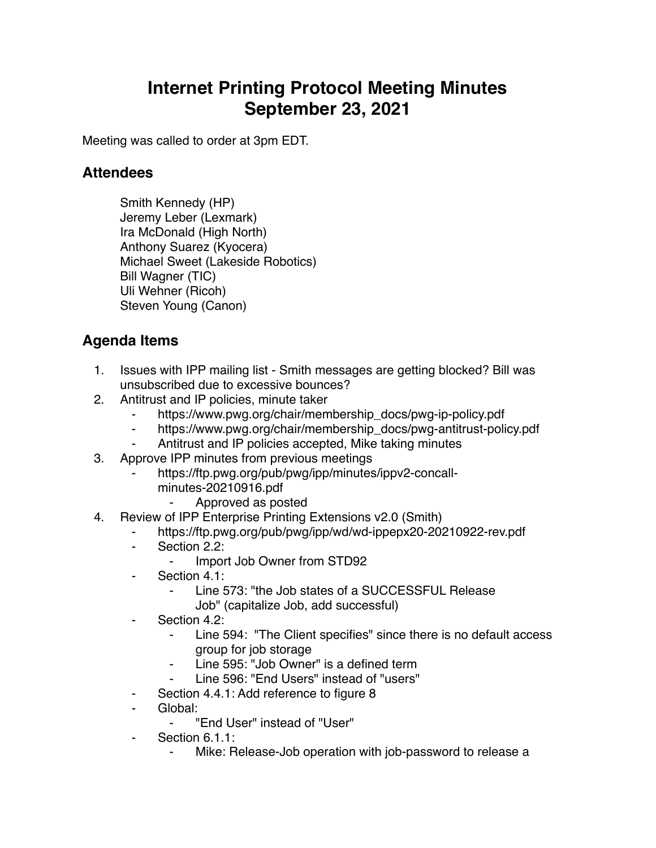## **Internet Printing Protocol Meeting Minutes September 23, 2021**

Meeting was called to order at 3pm EDT.

## **Attendees**

Smith Kennedy (HP) Jeremy Leber (Lexmark) Ira McDonald (High North) Anthony Suarez (Kyocera) Michael Sweet (Lakeside Robotics) Bill Wagner (TIC) Uli Wehner (Ricoh) Steven Young (Canon)

## **Agenda Items**

- 1. Issues with IPP mailing list Smith messages are getting blocked? Bill was unsubscribed due to excessive bounces?
- 2. Antitrust and IP policies, minute taker
	- ⁃ https://www.pwg.org/chair/membership\_docs/pwg-ip-policy.pdf
	- https://www.pwg.org/chair/membership\_docs/pwg-antitrust-policy.pdf
	- ⁃ Antitrust and IP policies accepted, Mike taking minutes
- 3. Approve IPP minutes from previous meetings
	- https://ftp.pwg.org/pub/pwg/ipp/minutes/ippv2-concall
		- minutes-20210916.pdf
			- ⁃ Approved as posted
- 4. Review of IPP Enterprise Printing Extensions v2.0 (Smith)
	- https://ftp.pwg.org/pub/pwg/ipp/wd/wd-ippepx20-20210922-rev.pdf
	- ⁃ Section 2.2:
		- ⁃ Import Job Owner from STD92
	- Section 4.1:
		- Line 573: "the Job states of a SUCCESSFUL Release Job" (capitalize Job, add successful)
	- Section 4.2:
		- Line 594: "The Client specifies" since there is no default access group for job storage
		- ⁃ Line 595: "Job Owner" is a defined term
		- Line 596: "End Users" instead of "users"
	- Section 4.4.1: Add reference to figure 8
	- Global:
		- "Fnd User" instead of "User"
	- Section 6.1.1:
		- Mike: Release-Job operation with job-password to release a